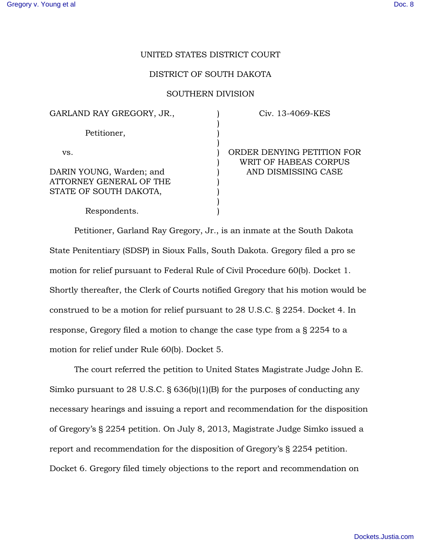## UNITED STATES DISTRICT COURT

## DISTRICT OF SOUTH DAKOTA

## SOUTHERN DIVISION

) ) ) ) ) ) ) ) ) ) )

GARLAND RAY GREGORY, JR.,

Petitioner,

vs.

DARIN YOUNG, Warden; and ATTORNEY GENERAL OF THE STATE OF SOUTH DAKOTA,

Civ. 13-4069-KES

ORDER DENYING PETITION FOR WRIT OF HABEAS CORPUS AND DISMISSING CASE

Respondents.

Petitioner, Garland Ray Gregory, Jr., is an inmate at the South Dakota State Penitentiary (SDSP) in Sioux Falls, South Dakota. Gregory filed a pro se motion for relief pursuant to Federal Rule of Civil Procedure 60(b). Docket 1. Shortly thereafter, the Clerk of Courts notified Gregory that his motion would be construed to be a motion for relief pursuant to 28 U.S.C. § 2254. Docket 4. In response, Gregory filed a motion to change the case type from a § 2254 to a motion for relief under Rule 60(b). Docket 5.

The court referred the petition to United States Magistrate Judge John E. Simko pursuant to 28 U.S.C. § 636(b)(1)(B) for the purposes of conducting any necessary hearings and issuing a report and recommendation for the disposition of Gregory's § 2254 petition. On July 8, 2013, Magistrate Judge Simko issued a report and recommendation for the disposition of Gregory's § 2254 petition. Docket 6. Gregory filed timely objections to the report and recommendation on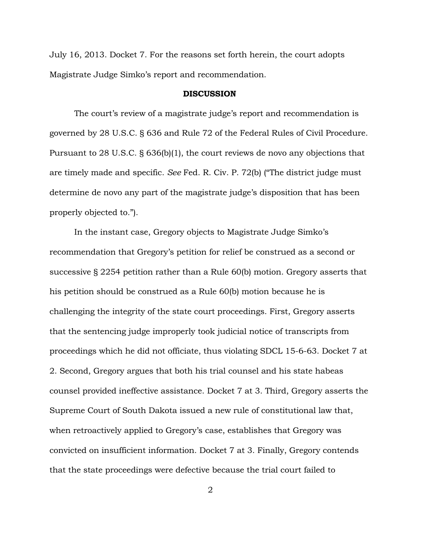July 16, 2013. Docket 7. For the reasons set forth herein, the court adopts Magistrate Judge Simko's report and recommendation.

## DISCUSSION

The court's review of a magistrate judge's report and recommendation is governed by 28 U.S.C. § 636 and Rule 72 of the Federal Rules of Civil Procedure. Pursuant to 28 U.S.C. § 636(b)(1), the court reviews de novo any objections that are timely made and specific. *See* Fed. R. Civ. P. 72(b) ("The district judge must determine de novo any part of the magistrate judge's disposition that has been properly objected to.").

In the instant case, Gregory objects to Magistrate Judge Simko's recommendation that Gregory's petition for relief be construed as a second or successive § 2254 petition rather than a Rule 60(b) motion. Gregory asserts that his petition should be construed as a Rule 60(b) motion because he is challenging the integrity of the state court proceedings. First, Gregory asserts that the sentencing judge improperly took judicial notice of transcripts from proceedings which he did not officiate, thus violating SDCL 15-6-63. Docket 7 at 2. Second, Gregory argues that both his trial counsel and his state habeas counsel provided ineffective assistance. Docket 7 at 3. Third, Gregory asserts the Supreme Court of South Dakota issued a new rule of constitutional law that, when retroactively applied to Gregory's case, establishes that Gregory was convicted on insufficient information. Docket 7 at 3. Finally, Gregory contends that the state proceedings were defective because the trial court failed to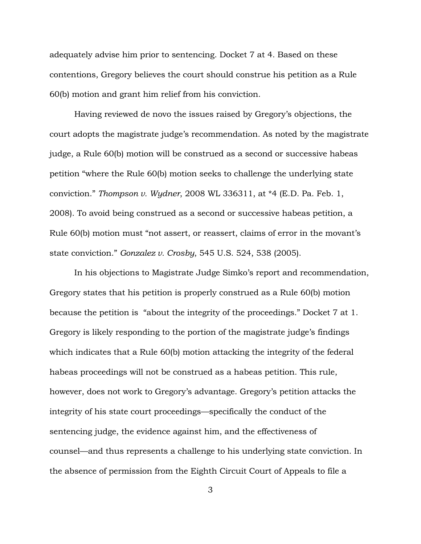adequately advise him prior to sentencing. Docket 7 at 4. Based on these contentions, Gregory believes the court should construe his petition as a Rule 60(b) motion and grant him relief from his conviction.

Having reviewed de novo the issues raised by Gregory's objections, the court adopts the magistrate judge's recommendation. As noted by the magistrate judge, a Rule 60(b) motion will be construed as a second or successive habeas petition "where the Rule 60(b) motion seeks to challenge the underlying state conviction." *Thompson v. Wydner*, 2008 WL 336311, at \*4 (E.D. Pa. Feb. 1, 2008). To avoid being construed as a second or successive habeas petition, a Rule 60(b) motion must "not assert, or reassert, claims of error in the movant's state conviction." *Gonzalez v. Crosby*, 545 U.S. 524, 538 (2005).

In his objections to Magistrate Judge Simko's report and recommendation, Gregory states that his petition is properly construed as a Rule 60(b) motion because the petition is "about the integrity of the proceedings." Docket 7 at 1. Gregory is likely responding to the portion of the magistrate judge's findings which indicates that a Rule 60(b) motion attacking the integrity of the federal habeas proceedings will not be construed as a habeas petition. This rule, however, does not work to Gregory's advantage. Gregory's petition attacks the integrity of his state court proceedings—specifically the conduct of the sentencing judge, the evidence against him, and the effectiveness of counsel—and thus represents a challenge to his underlying state conviction. In the absence of permission from the Eighth Circuit Court of Appeals to file a

3